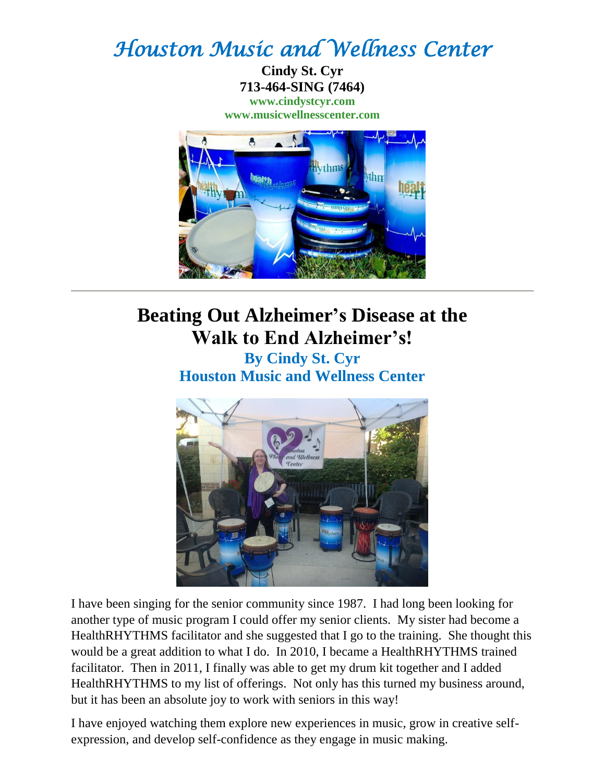## *Houston Music and Wellness Center*

**Cindy St. Cyr 713-464-SING (7464) [www.cindystcyr.com](http://www.cindystcyr.com/) [www.musicwellnesscenter.com](http://www.musicwellnesscenter.com/)**



## **Beating Out Alzheimer's Disease at the Walk to End Alzheimer's! By Cindy St. Cyr**

**Houston Music and Wellness Center**



I have been singing for the senior community since 1987. I had long been looking for another type of music program I could offer my senior clients. My sister had become a HealthRHYTHMS facilitator and she suggested that I go to the training. She thought this would be a great addition to what I do. In 2010, I became a HealthRHYTHMS trained facilitator. Then in 2011, I finally was able to get my drum kit together and I added HealthRHYTHMS to my list of offerings. Not only has this turned my business around, but it has been an absolute joy to work with seniors in this way!

I have enjoyed watching them explore new experiences in music, grow in creative selfexpression, and develop self-confidence as they engage in music making.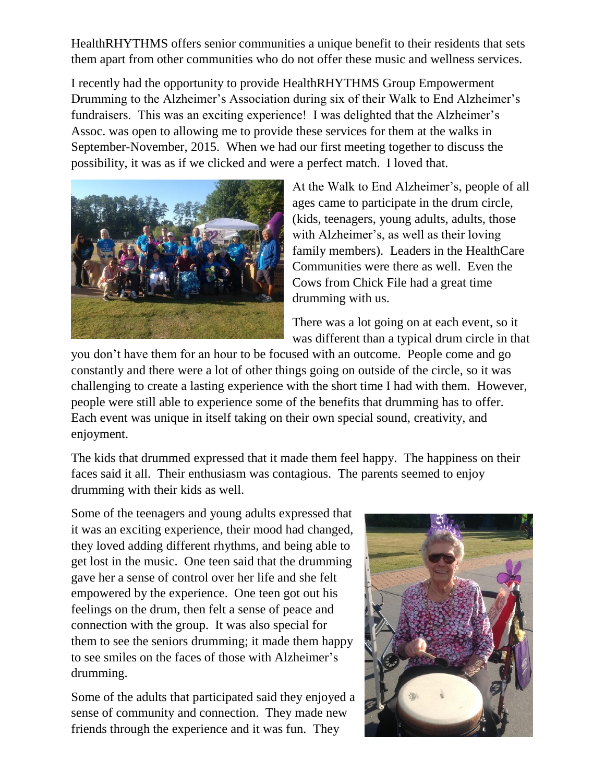HealthRHYTHMS offers senior communities a unique benefit to their residents that sets them apart from other communities who do not offer these music and wellness services.

I recently had the opportunity to provide HealthRHYTHMS Group Empowerment Drumming to the Alzheimer's Association during six of their Walk to End Alzheimer's fundraisers. This was an exciting experience! I was delighted that the Alzheimer's Assoc. was open to allowing me to provide these services for them at the walks in September-November, 2015. When we had our first meeting together to discuss the possibility, it was as if we clicked and were a perfect match. I loved that.



At the Walk to End Alzheimer's, people of all ages came to participate in the drum circle, (kids, teenagers, young adults, adults, those with Alzheimer's, as well as their loving family members). Leaders in the HealthCare Communities were there as well. Even the Cows from Chick File had a great time drumming with us.

There was a lot going on at each event, so it was different than a typical drum circle in that

you don't have them for an hour to be focused with an outcome. People come and go constantly and there were a lot of other things going on outside of the circle, so it was challenging to create a lasting experience with the short time I had with them. However, people were still able to experience some of the benefits that drumming has to offer. Each event was unique in itself taking on their own special sound, creativity, and enjoyment.

The kids that drummed expressed that it made them feel happy. The happiness on their faces said it all. Their enthusiasm was contagious. The parents seemed to enjoy drumming with their kids as well.

Some of the teenagers and young adults expressed that it was an exciting experience, their mood had changed, they loved adding different rhythms, and being able to get lost in the music. One teen said that the drumming gave her a sense of control over her life and she felt empowered by the experience. One teen got out his feelings on the drum, then felt a sense of peace and connection with the group. It was also special for them to see the seniors drumming; it made them happy to see smiles on the faces of those with Alzheimer's drumming.

Some of the adults that participated said they enjoyed a sense of community and connection. They made new friends through the experience and it was fun. They

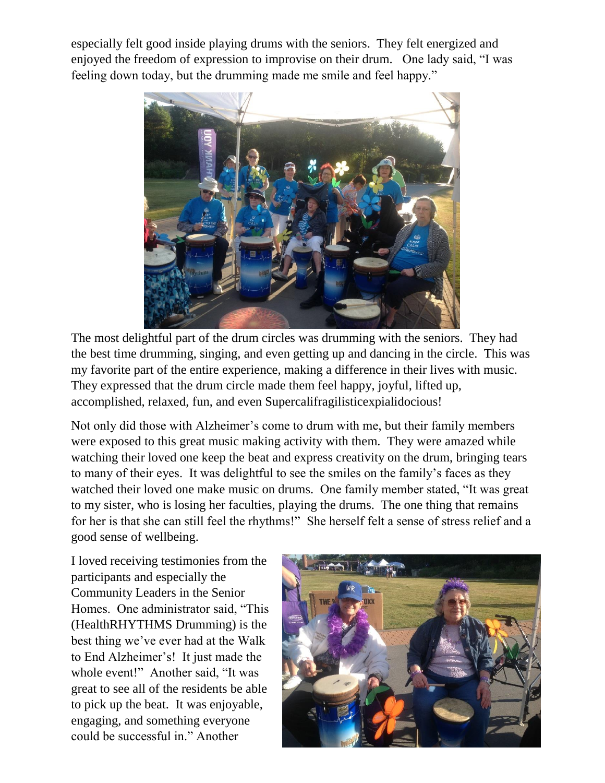especially felt good inside playing drums with the seniors. They felt energized and enjoyed the freedom of expression to improvise on their drum. One lady said, "I was feeling down today, but the drumming made me smile and feel happy."



The most delightful part of the drum circles was drumming with the seniors. They had the best time drumming, singing, and even getting up and dancing in the circle. This was my favorite part of the entire experience, making a difference in their lives with music. They expressed that the drum circle made them feel happy, joyful, lifted up, accomplished, relaxed, fun, and even Supercalifragilisticexpialidocious!

Not only did those with Alzheimer's come to drum with me, but their family members were exposed to this great music making activity with them. They were amazed while watching their loved one keep the beat and express creativity on the drum, bringing tears to many of their eyes. It was delightful to see the smiles on the family's faces as they watched their loved one make music on drums. One family member stated, "It was great to my sister, who is losing her faculties, playing the drums. The one thing that remains for her is that she can still feel the rhythms!" She herself felt a sense of stress relief and a good sense of wellbeing.

I loved receiving testimonies from the participants and especially the Community Leaders in the Senior Homes. One administrator said, "This (HealthRHYTHMS Drumming) is the best thing we've ever had at the Walk to End Alzheimer's! It just made the whole event!" Another said, "It was great to see all of the residents be able to pick up the beat. It was enjoyable, engaging, and something everyone could be successful in." Another